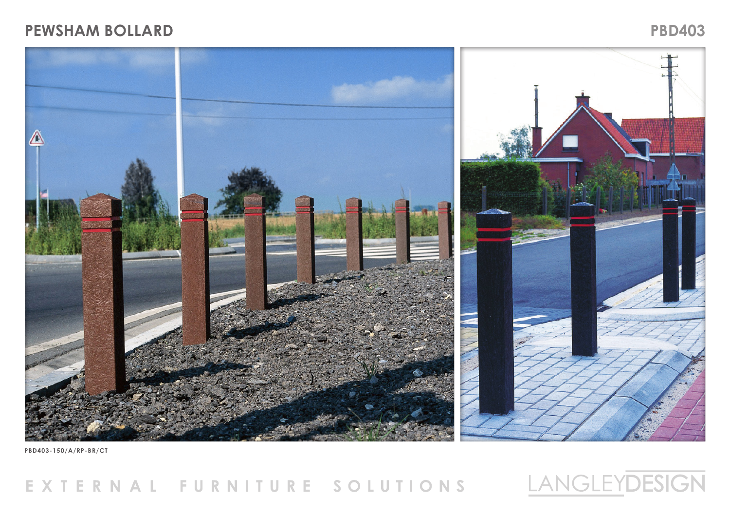## **PEWSHAM BOLLARD PBD403**



**PBD403-150/A/RP-BR/CT**

## EXTERNAL FURNITURE SOLUTIONS